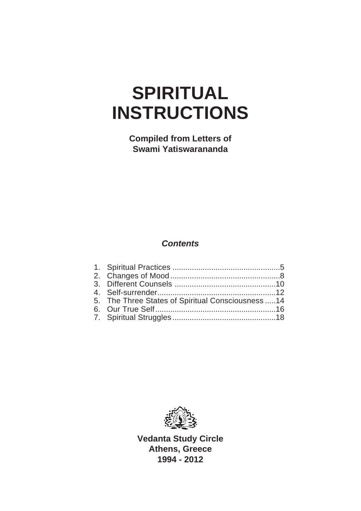# **SPIRITUAL INSTRUCTIONS**

**Compiled from Letters of Swami Yatiswarananda**

## **Contents**

| 5. The Three States of Spiritual Consciousness 14 |  |
|---------------------------------------------------|--|
|                                                   |  |
|                                                   |  |
|                                                   |  |



**Vedanta Study Circle Athens, Greece 1994 - 2012**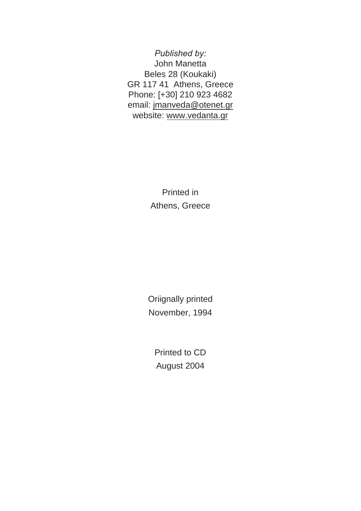*Published by:* John Manetta Beles 28 (Koukaki) GR 117 41 Athens, Greece Phone: [+30] 210 923 4682 email: jmanveda@otenet.gr website: www.vedanta.gr

> Printed in Athens, Greece

Oriignally printed November, 1994

Printed to CD August 2004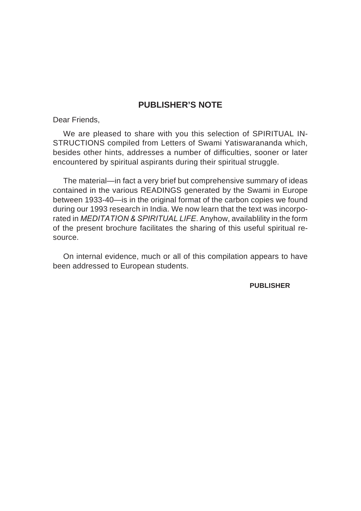#### **PUBLISHER'S NOTE**

Dear Friends,

We are pleased to share with you this selection of SPIRITUAL IN-STRUCTIONS compiled from Letters of Swami Yatiswarananda which, besides other hints, addresses a number of difficulties, sooner or later encountered by spiritual aspirants during their spiritual struggle.

The material—in fact a very brief but comprehensive summary of ideas contained in the various READINGS generated by the Swami in Europe between 1933-40—is in the original format of the carbon copies we found during our 1993 research in India. We now learn that the text was incorporated in *MEDITATION & SPIRITUAL LIFE*. Anyhow, availablility in the form of the present brochure facilitates the sharing of this useful spiritual resource.

On internal evidence, much or all of this compilation appears to have been addressed to European students.

**PUBLISHER**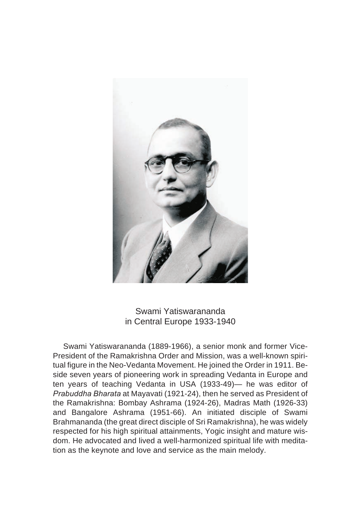

Swami Yatiswarananda in Central Europe 1933-1940

Swami Yatiswarananda (1889-1966), a senior monk and former Vice-President of the Ramakrishna Order and Mission, was a well-known spiritual figure in the Neo-Vedanta Movement. He joined the Order in 1911. Beside seven years of pioneering work in spreading Vedanta in Europe and ten years of teaching Vedanta in USA (1933-49)— he was editor of *Prabuddha Bharata* at Mayavati (1921-24), then he served as President of the Ramakrishna: Bombay Ashrama (1924-26), Madras Math (1926-33) and Bangalore Ashrama (1951-66). An initiated disciple of Swami Brahmananda (the great direct disciple of Sri Ramakrishna), he was widely respected for his high spiritual attainments, Yogic insight and mature wisdom. He advocated and lived a well-harmonized spiritual life with meditation as the keynote and love and service as the main melody.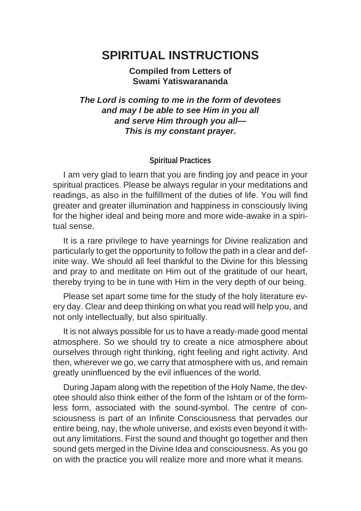# **SPIRITUAL INSTRUCTIONS**

**Compiled from Letters of Swami Yatiswarananda**

**The Lord is coming to me in the form of devotees and may I be able to see Him in you all and serve Him through you all— This is my constant prayer.**

#### **Spiritual Practices**

I am very glad to learn that you are finding joy and peace in your spiritual practices. Please be always regular in your meditations and readings, as also in the fulfillment of the duties of life. You will find greater and greater illumination and happiness in consciously living for the higher ideal and being more and more wide-awake in a spiritual sense.

It is a rare privilege to have yearnings for Divine realization and particularly to get the opportunity to follow the path in a clear and definite way. We should all feel thankful to the Divine for this blessing and pray to and meditate on Him out of the gratitude of our heart, thereby trying to be in tune with Him in the very depth of our being.

Please set apart some time for the study of the holy literature every day. Clear and deep thinking on what you read will help you, and not only intellectually, but also spiritually.

It is not always possible for us to have a ready-made good mental atmosphere. So we should try to create a nice atmosphere about ourselves through right thinking, right feeling and right activity. And then, wherever we go, we carry that atmosphere with us, and remain greatly uninfluenced by the evil influences of the world.

During Japam along with the repetition of the Holy Name, the devotee should also think either of the form of the Ishtam or of the formless form, associated with the sound-symbol. The centre of consciousness is part of an Infinite Consciousness that pervades our entire being, nay, the whole universe, and exists even beyond it without any limitations. First the sound and thought go together and then sound gets merged in the Divine Idea and consciousness. As you go on with the practice you will realize more and more what it means.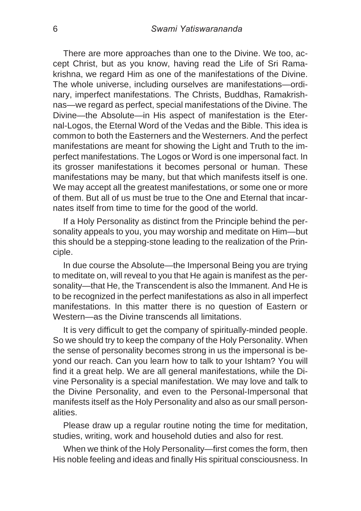There are more approaches than one to the Divine. We too, accept Christ, but as you know, having read the Life of Sri Ramakrishna, we regard Him as one of the manifestations of the Divine. The whole universe, including ourselves are manifestations—ordinary, imperfect manifestations. The Christs, Buddhas, Ramakrishnas—we regard as perfect, special manifestations of the Divine. The Divine—the Absolute—in His aspect of manifestation is the Eternal-Logos, the Eternal Word of the Vedas and the Bible. This idea is common to both the Easterners and the Westerners. And the perfect manifestations are meant for showing the Light and Truth to the imperfect manifestations. The Logos or Word is one impersonal fact. In its grosser manifestations it becomes personal or human. These manifestations may be many, but that which manifests itself is one. We may accept all the greatest manifestations, or some one or more of them. But all of us must be true to the One and Eternal that incarnates itself from time to time for the good of the world.

If a Holy Personality as distinct from the Principle behind the personality appeals to you, you may worship and meditate on Him—but this should be a stepping-stone leading to the realization of the Principle.

In due course the Absolute—the Impersonal Being you are trying to meditate on, will reveal to you that He again is manifest as the personality—that He, the Transcendent is also the Immanent. And He is to be recognized in the perfect manifestations as also in all imperfect manifestations. In this matter there is no question of Eastern or Western—as the Divine transcends all limitations.

It is very difficult to get the company of spiritually-minded people. So we should try to keep the company of the Holy Personality. When the sense of personality becomes strong in us the impersonal is beyond our reach. Can you learn how to talk to your Ishtam? You will find it a great help. We are all general manifestations, while the Divine Personality is a special manifestation. We may love and talk to the Divine Personality, and even to the Personal-Impersonal that manifests itself as the Holy Personality and also as our small personalities.

Please draw up a regular routine noting the time for meditation, studies, writing, work and household duties and also for rest.

When we think of the Holy Personality—first comes the form, then His noble feeling and ideas and finally His spiritual consciousness. In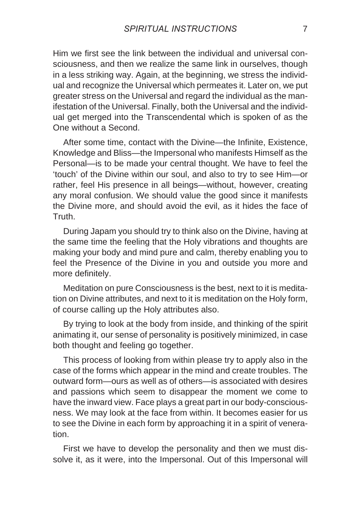Him we first see the link between the individual and universal consciousness, and then we realize the same link in ourselves, though in a less striking way. Again, at the beginning, we stress the individual and recognize the Universal which permeates it. Later on, we put greater stress on the Universal and regard the individual as the manifestation of the Universal. Finally, both the Universal and the individual get merged into the Transcendental which is spoken of as the One without a Second.

After some time, contact with the Divine—the Infinite, Existence, Knowledge and Bliss—the Impersonal who manifests Himself as the Personal—is to be made your central thought. We have to feel the 'touch' of the Divine within our soul, and also to try to see Him—or rather, feel His presence in all beings—without, however, creating any moral confusion. We should value the good since it manifests the Divine more, and should avoid the evil, as it hides the face of **Truth** 

During Japam you should try to think also on the Divine, having at the same time the feeling that the Holy vibrations and thoughts are making your body and mind pure and calm, thereby enabling you to feel the Presence of the Divine in you and outside you more and more definitely.

Meditation on pure Consciousness is the best, next to it is meditation on Divine attributes, and next to it is meditation on the Holy form, of course calling up the Holy attributes also.

By trying to look at the body from inside, and thinking of the spirit animating it, our sense of personality is positively minimized, in case both thought and feeling go together.

This process of looking from within please try to apply also in the case of the forms which appear in the mind and create troubles. The outward form—ours as well as of others—is associated with desires and passions which seem to disappear the moment we come to have the inward view. Face plays a great part in our body-consciousness. We may look at the face from within. It becomes easier for us to see the Divine in each form by approaching it in a spirit of veneration.

First we have to develop the personality and then we must dissolve it, as it were, into the Impersonal. Out of this Impersonal will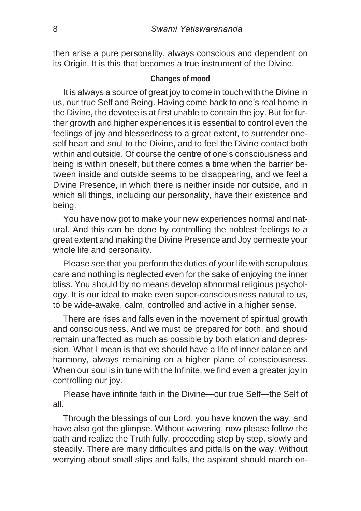then arise a pure personality, always conscious and dependent on its Origin. It is this that becomes a true instrument of the Divine.

#### **Changes of mood**

It is always a source of great joy to come in touch with the Divine in us, our true Self and Being. Having come back to one's real home in the Divine, the devotee is at first unable to contain the joy. But for further growth and higher experiences it is essential to control even the feelings of joy and blessedness to a great extent, to surrender oneself heart and soul to the Divine, and to feel the Divine contact both within and outside. Of course the centre of one's consciousness and being is within oneself, but there comes a time when the barrier between inside and outside seems to be disappearing, and we feel a Divine Presence, in which there is neither inside nor outside, and in which all things, including our personality, have their existence and being.

You have now got to make your new experiences normal and natural. And this can be done by controlling the noblest feelings to a great extent and making the Divine Presence and Joy permeate your whole life and personality.

Please see that you perform the duties of your life with scrupulous care and nothing is neglected even for the sake of enjoying the inner bliss. You should by no means develop abnormal religious psychology. It is our ideal to make even super-consciousness natural to us, to be wide-awake, calm, controlled and active in a higher sense.

There are rises and falls even in the movement of spiritual growth and consciousness. And we must be prepared for both, and should remain unaffected as much as possible by both elation and depression. What I mean is that we should have a life of inner balance and harmony, always remaining on a higher plane of consciousness. When our soul is in tune with the Infinite, we find even a greater joy in controlling our joy.

Please have infinite faith in the Divine—our true Self—the Self of all.

Through the blessings of our Lord, you have known the way, and have also got the glimpse. Without wavering, now please follow the path and realize the Truth fully, proceeding step by step, slowly and steadily. There are many difficulties and pitfalls on the way. Without worrying about small slips and falls, the aspirant should march on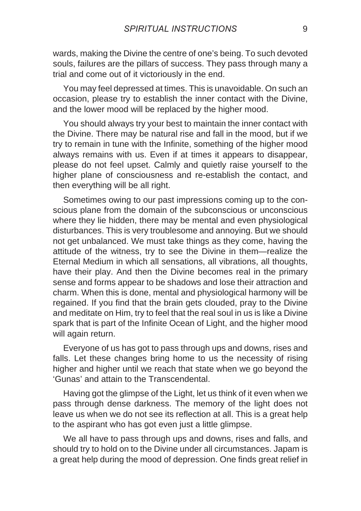wards, making the Divine the centre of one's being. To such devoted souls, failures are the pillars of success. They pass through many a trial and come out of it victoriously in the end.

You may feel depressed at times. This is unavoidable. On such an occasion, please try to establish the inner contact with the Divine, and the lower mood will be replaced by the higher mood.

You should always try your best to maintain the inner contact with the Divine. There may be natural rise and fall in the mood, but if we try to remain in tune with the Infinite, something of the higher mood always remains with us. Even if at times it appears to disappear, please do not feel upset. Calmly and quietly raise yourself to the higher plane of consciousness and re-establish the contact, and then everything will be all right.

Sometimes owing to our past impressions coming up to the conscious plane from the domain of the subconscious or unconscious where they lie hidden, there may be mental and even physiological disturbances. This is very troublesome and annoying. But we should not get unbalanced. We must take things as they come, having the attitude of the witness, try to see the Divine in them—realize the Eternal Medium in which all sensations, all vibrations, all thoughts, have their play. And then the Divine becomes real in the primary sense and forms appear to be shadows and lose their attraction and charm. When this is done, mental and physiological harmony will be regained. If you find that the brain gets clouded, pray to the Divine and meditate on Him, try to feel that the real soul in us is like a Divine spark that is part of the Infinite Ocean of Light, and the higher mood will again return.

Everyone of us has got to pass through ups and downs, rises and falls. Let these changes bring home to us the necessity of rising higher and higher until we reach that state when we go beyond the 'Gunas' and attain to the Transcendental.

Having got the glimpse of the Light, let us think of it even when we pass through dense darkness. The memory of the light does not leave us when we do not see its reflection at all. This is a great help to the aspirant who has got even just a little glimpse.

We all have to pass through ups and downs, rises and falls, and should try to hold on to the Divine under all circumstances. Japam is a great help during the mood of depression. One finds great relief in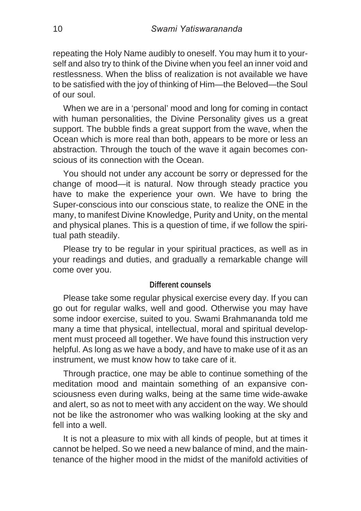repeating the Holy Name audibly to oneself. You may hum it to yourself and also try to think of the Divine when you feel an inner void and restlessness. When the bliss of realization is not available we have to be satisfied with the joy of thinking of Him—the Beloved—the Soul of our soul.

When we are in a 'personal' mood and long for coming in contact with human personalities, the Divine Personality gives us a great support. The bubble finds a great support from the wave, when the Ocean which is more real than both, appears to be more or less an abstraction. Through the touch of the wave it again becomes conscious of its connection with the Ocean.

You should not under any account be sorry or depressed for the change of mood—it is natural. Now through steady practice you have to make the experience your own. We have to bring the Super-conscious into our conscious state, to realize the ONE in the many, to manifest Divine Knowledge, Purity and Unity, on the mental and physical planes. This is a question of time, if we follow the spiritual path steadily.

Please try to be regular in your spiritual practices, as well as in your readings and duties, and gradually a remarkable change will come over you.

#### **Different counsels**

Please take some regular physical exercise every day. If you can go out for regular walks, well and good. Otherwise you may have some indoor exercise, suited to you. Swami Brahmananda told me many a time that physical, intellectual, moral and spiritual development must proceed all together. We have found this instruction very helpful. As long as we have a body, and have to make use of it as an instrument, we must know how to take care of it.

Through practice, one may be able to continue something of the meditation mood and maintain something of an expansive consciousness even during walks, being at the same time wide-awake and alert, so as not to meet with any accident on the way. We should not be like the astronomer who was walking looking at the sky and fell into a well

It is not a pleasure to mix with all kinds of people, but at times it cannot be helped. So we need a new balance of mind, and the maintenance of the higher mood in the midst of the manifold activities of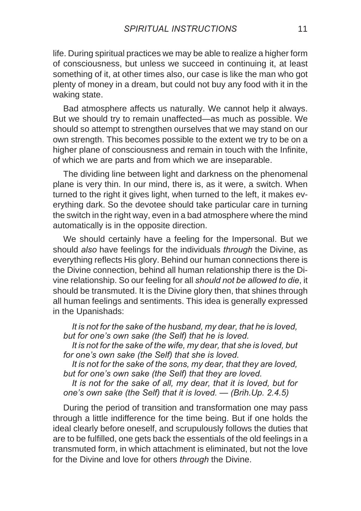life. During spiritual practices we may be able to realize a higher form of consciousness, but unless we succeed in continuing it, at least something of it, at other times also, our case is like the man who got plenty of money in a dream, but could not buy any food with it in the waking state.

Bad atmosphere affects us naturally. We cannot help it always. But we should try to remain unaffected—as much as possible. We should so attempt to strengthen ourselves that we may stand on our own strength. This becomes possible to the extent we try to be on a higher plane of consciousness and remain in touch with the Infinite, of which we are parts and from which we are inseparable.

The dividing line between light and darkness on the phenomenal plane is very thin. In our mind, there is, as it were, a switch. When turned to the right it gives light, when turned to the left, it makes everything dark. So the devotee should take particular care in turning the switch in the right way, even in a bad atmosphere where the mind automatically is in the opposite direction.

We should certainly have a feeling for the Impersonal. But we should *also* have feelings for the individuals *through* the Divine, as everything reflects His glory. Behind our human connections there is the Divine connection, behind all human relationship there is the Divine relationship. So our feeling for all *should not be allowed to die*, it should be transmuted. It is the Divine glory then, that shines through all human feelings and sentiments. This idea is generally expressed in the Upanishads:

*It is not for the sake of the husband, my dear, that he is loved, but for one's own sake (the Self) that he is loved.*

*It is not for the sake of the wife, my dear, that she is loved, but for one's own sake (the Self) that she is loved.*

*It is not for the sake of the sons, my dear, that they are loved, but for one's own sake (the Self) that they are loved.*

*It is not for the sake of all, my dear, that it is loved, but for one's own sake (the Self) that it is loved. — (Brih.Up. 2.4.5)*

During the period of transition and transformation one may pass through a little indifference for the time being. But if one holds the ideal clearly before oneself, and scrupulously follows the duties that are to be fulfilled, one gets back the essentials of the old feelings in a transmuted form, in which attachment is eliminated, but not the love for the Divine and love for others *through* the Divine.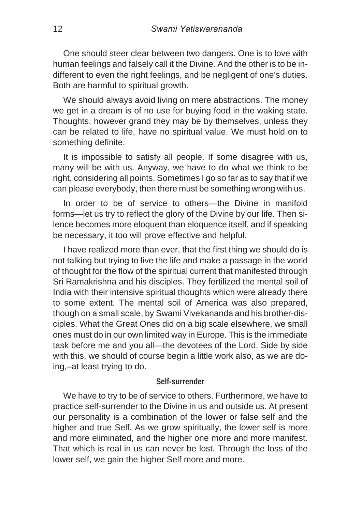One should steer clear between two dangers. One is to love with human feelings and falsely call it the Divine. And the other is to be indifferent to even the right feelings, and be negligent of one's duties. Both are harmful to spiritual growth.

We should always avoid living on mere abstractions. The money we get in a dream is of no use for buying food in the waking state. Thoughts, however grand they may be by themselves, unless they can be related to life, have no spiritual value. We must hold on to something definite.

It is impossible to satisfy all people. If some disagree with us, many will be with us. Anyway, we have to do what we think to be right, considering all points. Sometimes I go so far as to say that if we can please everybody, then there must be something wrong with us.

In order to be of service to others—the Divine in manifold forms—let us try to reflect the glory of the Divine by our life. Then silence becomes more eloquent than eloquence itself, and if speaking be necessary, it too will prove effective and helpful.

I have realized more than ever, that the first thing we should do is not talking but trying to live the life and make a passage in the world of thought for the flow of the spiritual current that manifested through Sri Ramakrishna and his disciples. They fertilized the mental soil of India with their intensive spiritual thoughts which were already there to some extent. The mental soil of America was also prepared, though on a small scale, by Swami Vivekananda and his brother-disciples. What the Great Ones did on a big scale elsewhere, we small ones must do in our own limited way in Europe. This is the immediate task before me and you all—the devotees of the Lord. Side by side with this, we should of course begin a little work also, as we are doing,–at least trying to do.

#### **Self-surrender**

We have to try to be of service to others. Furthermore, we have to practice self-surrender to the Divine in us and outside us. At present our personality is a combination of the lower or false self and the higher and true Self. As we grow spiritually, the lower self is more and more eliminated, and the higher one more and more manifest. That which is real in us can never be lost. Through the loss of the lower self, we gain the higher Self more and more.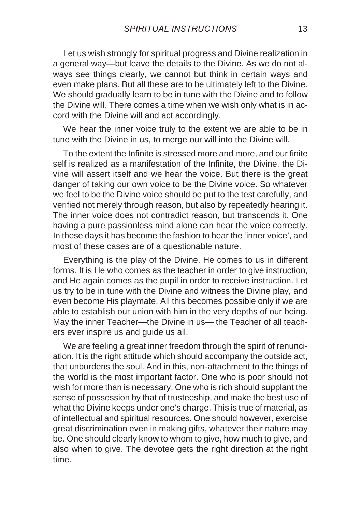Let us wish strongly for spiritual progress and Divine realization in a general way—but leave the details to the Divine. As we do not always see things clearly, we cannot but think in certain ways and even make plans. But all these are to be ultimately left to the Divine. We should gradually learn to be in tune with the Divine and to follow the Divine will. There comes a time when we wish only what is in accord with the Divine will and act accordingly.

We hear the inner voice truly to the extent we are able to be in tune with the Divine in us, to merge our will into the Divine will.

To the extent the Infinite is stressed more and more, and our finite self is realized as a manifestation of the Infinite, the Divine, the Divine will assert itself and we hear the voice. But there is the great danger of taking our own voice to be the Divine voice. So whatever we feel to be the Divine voice should be put to the test carefully, and verified not merely through reason, but also by repeatedly hearing it. The inner voice does not contradict reason, but transcends it. One having a pure passionless mind alone can hear the voice correctly. In these days it has become the fashion to hear the 'inner voice', and most of these cases are of a questionable nature.

Everything is the play of the Divine. He comes to us in different forms. It is He who comes as the teacher in order to give instruction, and He again comes as the pupil in order to receive instruction. Let us try to be in tune with the Divine and witness the Divine play, and even become His playmate. All this becomes possible only if we are able to establish our union with him in the very depths of our being. May the inner Teacher—the Divine in us— the Teacher of all teachers ever inspire us and guide us all.

We are feeling a great inner freedom through the spirit of renunciation. It is the right attitude which should accompany the outside act, that unburdens the soul. And in this, non-attachment to the things of the world is the most important factor. One who is poor should not wish for more than is necessary. One who is rich should supplant the sense of possession by that of trusteeship, and make the best use of what the Divine keeps under one's charge. This is true of material, as of intellectual and spiritual resources. One should however, exercise great discrimination even in making gifts, whatever their nature may be. One should clearly know to whom to give, how much to give, and also when to give. The devotee gets the right direction at the right time.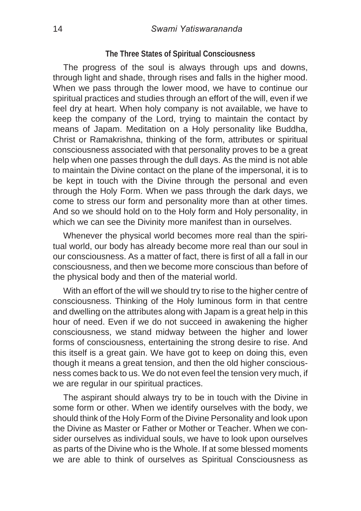#### **The Three States of Spiritual Consciousness**

The progress of the soul is always through ups and downs. through light and shade, through rises and falls in the higher mood. When we pass through the lower mood, we have to continue our spiritual practices and studies through an effort of the will, even if we feel dry at heart. When holy company is not available, we have to keep the company of the Lord, trying to maintain the contact by means of Japam. Meditation on a Holy personality like Buddha, Christ or Ramakrishna, thinking of the form, attributes or spiritual consciousness associated with that personality proves to be a great help when one passes through the dull days. As the mind is not able to maintain the Divine contact on the plane of the impersonal, it is to be kept in touch with the Divine through the personal and even through the Holy Form. When we pass through the dark days, we come to stress our form and personality more than at other times. And so we should hold on to the Holy form and Holy personality, in which we can see the Divinity more manifest than in ourselves.

Whenever the physical world becomes more real than the spiritual world, our body has already become more real than our soul in our consciousness. As a matter of fact, there is first of all a fall in our consciousness, and then we become more conscious than before of the physical body and then of the material world.

With an effort of the will we should try to rise to the higher centre of consciousness. Thinking of the Holy luminous form in that centre and dwelling on the attributes along with Japam is a great help in this hour of need. Even if we do not succeed in awakening the higher consciousness, we stand midway between the higher and lower forms of consciousness, entertaining the strong desire to rise. And this itself is a great gain. We have got to keep on doing this, even though it means a great tension, and then the old higher consciousness comes back to us. We do not even feel the tension very much, if we are regular in our spiritual practices.

The aspirant should always try to be in touch with the Divine in some form or other. When we identify ourselves with the body, we should think of the Holy Form of the Divine Personality and look upon the Divine as Master or Father or Mother or Teacher. When we consider ourselves as individual souls, we have to look upon ourselves as parts of the Divine who is the Whole. If at some blessed moments we are able to think of ourselves as Spiritual Consciousness as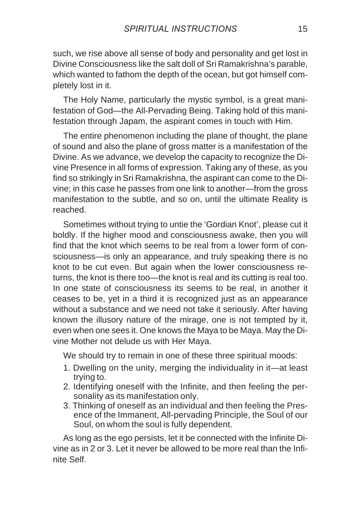such, we rise above all sense of body and personality and get lost in Divine Consciousness like the salt doll of Sri Ramakrishna's parable, which wanted to fathom the depth of the ocean, but got himself completely lost in it.

The Holy Name, particularly the mystic symbol, is a great manifestation of God—the All-Pervading Being. Taking hold of this manifestation through Japam, the aspirant comes in touch with Him.

The entire phenomenon including the plane of thought, the plane of sound and also the plane of gross matter is a manifestation of the Divine. As we advance, we develop the capacity to recognize the Divine Presence in all forms of expression. Taking any of these, as you find so strikingly in Sri Ramakrishna, the aspirant can come to the Divine; in this case he passes from one link to another—from the gross manifestation to the subtle, and so on, until the ultimate Reality is reached.

Sometimes without trying to untie the 'Gordian Knot', please cut it boldly. If the higher mood and consciousness awake, then you will find that the knot which seems to be real from a lower form of consciousness—is only an appearance, and truly speaking there is no knot to be cut even. But again when the lower consciousness returns, the knot is there too—the knot is real and its cutting is real too. In one state of consciousness its seems to be real, in another it ceases to be, yet in a third it is recognized just as an appearance without a substance and we need not take it seriously. After having known the illusory nature of the mirage, one is not tempted by it, even when one sees it. One knows the Maya to be Maya. May the Divine Mother not delude us with Her Maya.

We should try to remain in one of these three spiritual moods:

- 1. Dwelling on the unity, merging the individuality in it—at least trying to.
- 2. Identifying oneself with the Infinite, and then feeling the personality as its manifestation only.
- 3. Thinking of oneself as an individual and then feeling the Presence of the Immanent, All-pervading Principle, the Soul of our Soul, on whom the soul is fully dependent.

As long as the ego persists, let it be connected with the Infinite Divine as in 2 or 3. Let it never be allowed to be more real than the Infinite Self.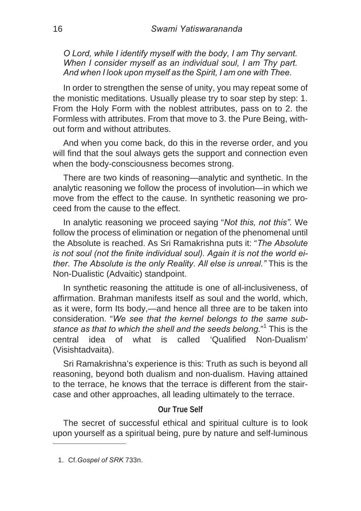*O Lord, while I identify myself with the body, I am Thy servant. When I consider myself as an individual soul, I am Thy part. And when I look upon myself as the Spirit, I am one with Thee.*

In order to strengthen the sense of unity, you may repeat some of the monistic meditations. Usually please try to soar step by step: 1. From the Holy Form with the noblest attributes, pass on to 2. the Formless with attributes. From that move to 3. the Pure Being, without form and without attributes.

And when you come back, do this in the reverse order, and you will find that the soul always gets the support and connection even when the body-consciousness becomes strong.

There are two kinds of reasoning—analytic and synthetic. In the analytic reasoning we follow the process of involution—in which we move from the effect to the cause. In synthetic reasoning we proceed from the cause to the effect.

In analytic reasoning we proceed saying "*Not this, not this".* We follow the process of elimination or negation of the phenomenal until the Absolute is reached. As Sri Ramakrishna puts it: "*The Absolute is not soul (not the finite individual soul). Again it is not the world either. The Absolute is the only Reality. All else is unreal."* This is the Non-Dualistic (Advaitic) standpoint.

In synthetic reasoning the attitude is one of all-inclusiveness, of affirmation. Brahman manifests itself as soul and the world, which, as it were, form Its body,—and hence all three are to be taken into consideration. "*We see that the kernel belongs to the same substance as that to which the shell and the seeds belong.*" 1 This is the central idea of what is called 'Qualified Non-Dualism' (Visishtadvaita).

Sri Ramakrishna's experience is this: Truth as such is beyond all reasoning, beyond both dualism and non-dualism. Having attained to the terrace, he knows that the terrace is different from the staircase and other approaches, all leading ultimately to the terrace.

# **Our True Self**

The secret of successful ethical and spiritual culture is to look upon yourself as a spiritual being, pure by nature and self-luminous

<sup>1.</sup> Cf.*Gospel of SRK* 733n.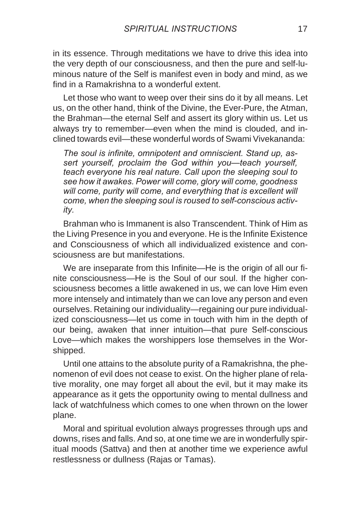in its essence. Through meditations we have to drive this idea into the very depth of our consciousness, and then the pure and self-luminous nature of the Self is manifest even in body and mind, as we find in a Ramakrishna to a wonderful extent.

Let those who want to weep over their sins do it by all means. Let us, on the other hand, think of the Divine, the Ever-Pure, the Atman, the Brahman—the eternal Self and assert its glory within us. Let us always try to remember—even when the mind is clouded, and inclined towards evil—these wonderful words of Swami Vivekananda:

*The soul is infinite, omnipotent and omniscient. Stand up, assert yourself, proclaim the God within you—teach yourself, teach everyone his real nature. Call upon the sleeping soul to see how it awakes. Power will come, glory will come, goodness will come, purity will come, and everything that is excellent will come, when the sleeping soul is roused to self-conscious activity.*

Brahman who is Immanent is also Transcendent. Think of Him as the Living Presence in you and everyone. He is the Infinite Existence and Consciousness of which all individualized existence and consciousness are but manifestations.

We are inseparate from this Infinite—He is the origin of all our finite consciousness—He is the Soul of our soul. If the higher consciousness becomes a little awakened in us, we can love Him even more intensely and intimately than we can love any person and even ourselves. Retaining our individuality—regaining our pure individualized consciousness—let us come in touch with him in the depth of our being, awaken that inner intuition—that pure Self-conscious Love—which makes the worshippers lose themselves in the Worshipped.

Until one attains to the absolute purity of a Ramakrishna, the phenomenon of evil does not cease to exist. On the higher plane of relative morality, one may forget all about the evil, but it may make its appearance as it gets the opportunity owing to mental dullness and lack of watchfulness which comes to one when thrown on the lower plane.

Moral and spiritual evolution always progresses through ups and downs, rises and falls. And so, at one time we are in wonderfully spiritual moods (Sattva) and then at another time we experience awful restlessness or dullness (Rajas or Tamas).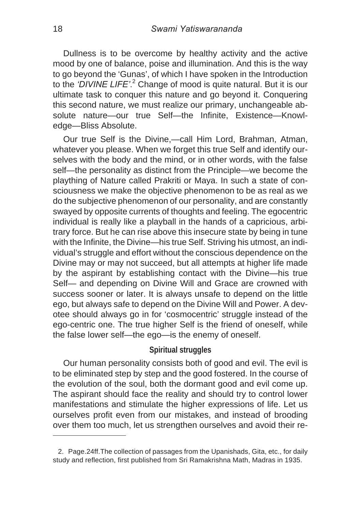Dullness is to be overcome by healthy activity and the active mood by one of balance, poise and illumination. And this is the way to go beyond the 'Gunas', of which I have spoken in the Introduction to the *'DIVINE LIFE'*. <sup>2</sup> Change of mood is quite natural. But it is our ultimate task to conquer this nature and go beyond it. Conquering this second nature, we must realize our primary, unchangeable absolute nature—our true Self—the Infinite, Existence—Knowledge—Bliss Absolute.

Our true Self is the Divine,—call Him Lord, Brahman, Atman, whatever you please. When we forget this true Self and identify ourselves with the body and the mind, or in other words, with the false self—the personality as distinct from the Principle—we become the plaything of Nature called Prakriti or Maya. In such a state of consciousness we make the objective phenomenon to be as real as we do the subjective phenomenon of our personality, and are constantly swayed by opposite currents of thoughts and feeling. The egocentric individual is really like a playball in the hands of a capricious, arbitrary force. But he can rise above this insecure state by being in tune with the Infinite, the Divine—his true Self. Striving his utmost, an individual's struggle and effort without the conscious dependence on the Divine may or may not succeed, but all attempts at higher life made by the aspirant by establishing contact with the Divine—his true Self— and depending on Divine Will and Grace are crowned with success sooner or later. It is always unsafe to depend on the little ego, but always safe to depend on the Divine Will and Power. A devotee should always go in for 'cosmocentric' struggle instead of the ego-centric one. The true higher Self is the friend of oneself, while the false lower self—the ego—is the enemy of oneself.

# **Spiritual struggles**

Our human personality consists both of good and evil. The evil is to be eliminated step by step and the good fostered. In the course of the evolution of the soul, both the dormant good and evil come up. The aspirant should face the reality and should try to control lower manifestations and stimulate the higher expressions of life. Let us ourselves profit even from our mistakes, and instead of brooding over them too much, let us strengthen ourselves and avoid their re-

<sup>2.</sup> Page.24ff.The collection of passages from the Upanishads, Gita, etc., for daily study and reflection, first published from Sri Ramakrishna Math, Madras in 1935.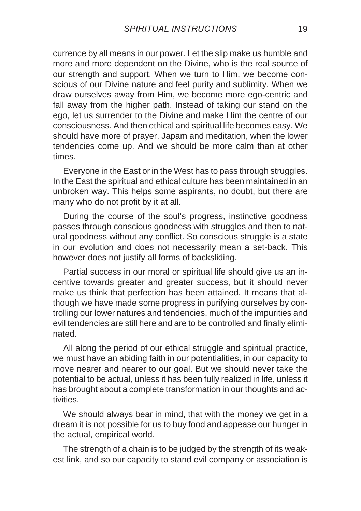currence by all means in our power. Let the slip make us humble and more and more dependent on the Divine, who is the real source of our strength and support. When we turn to Him, we become conscious of our Divine nature and feel purity and sublimity. When we draw ourselves away from Him, we become more ego-centric and fall away from the higher path. Instead of taking our stand on the ego, let us surrender to the Divine and make Him the centre of our consciousness. And then ethical and spiritual life becomes easy. We should have more of prayer, Japam and meditation, when the lower tendencies come up. And we should be more calm than at other times.

Everyone in the East or in the West has to pass through struggles. In the East the spiritual and ethical culture has been maintained in an unbroken way. This helps some aspirants, no doubt, but there are many who do not profit by it at all.

During the course of the soul's progress, instinctive goodness passes through conscious goodness with struggles and then to natural goodness without any conflict. So conscious struggle is a state in our evolution and does not necessarily mean a set-back. This however does not justify all forms of backsliding.

Partial success in our moral or spiritual life should give us an incentive towards greater and greater success, but it should never make us think that perfection has been attained. It means that although we have made some progress in purifying ourselves by controlling our lower natures and tendencies, much of the impurities and evil tendencies are still here and are to be controlled and finally eliminated.

All along the period of our ethical struggle and spiritual practice, we must have an abiding faith in our potentialities, in our capacity to move nearer and nearer to our goal. But we should never take the potential to be actual, unless it has been fully realized in life, unless it has brought about a complete transformation in our thoughts and activities.

We should always bear in mind, that with the money we get in a dream it is not possible for us to buy food and appease our hunger in the actual, empirical world.

The strength of a chain is to be judged by the strength of its weakest link, and so our capacity to stand evil company or association is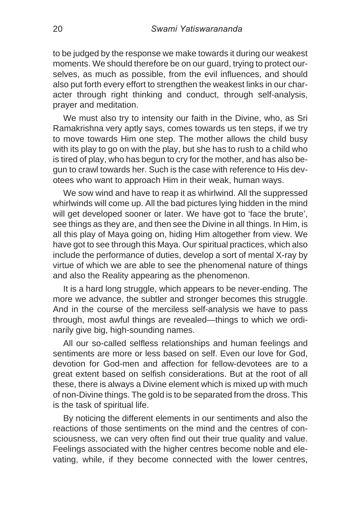to be judged by the response we make towards it during our weakest moments. We should therefore be on our guard, trying to protect ourselves, as much as possible, from the evil influences, and should also put forth every effort to strengthen the weakest links in our character through right thinking and conduct, through self-analysis, prayer and meditation.

We must also try to intensity our faith in the Divine, who, as Sri Ramakrishna very aptly says, comes towards us ten steps, if we try to move towards Him one step. The mother allows the child busy with its play to go on with the play, but she has to rush to a child who is tired of play, who has begun to cry for the mother, and has also begun to crawl towards her. Such is the case with reference to His devotees who want to approach Him in their weak, human ways.

We sow wind and have to reap it as whirlwind. All the suppressed whirlwinds will come up. All the bad pictures lying hidden in the mind will get developed sooner or later. We have got to 'face the brute', see things as they are, and then see the Divine in all things. In Him, is all this play of Maya going on, hiding Him altogether from view. We have got to see through this Maya. Our spiritual practices, which also include the performance of duties, develop a sort of mental X-ray by virtue of which we are able to see the phenomenal nature of things and also the Reality appearing as the phenomenon.

It is a hard long struggle, which appears to be never-ending. The more we advance, the subtler and stronger becomes this struggle. And in the course of the merciless self-analysis we have to pass through, most awful things are revealed—things to which we ordinarily give big, high-sounding names.

All our so-called selfless relationships and human feelings and sentiments are more or less based on self. Even our love for God, devotion for God-men and affection for fellow-devotees are to a great extent based on selfish considerations. But at the root of all these, there is always a Divine element which is mixed up with much of non-Divine things. The gold is to be separated from the dross. This is the task of spiritual life.

By noticing the different elements in our sentiments and also the reactions of those sentiments on the mind and the centres of consciousness, we can very often find out their true quality and value. Feelings associated with the higher centres become noble and elevating, while, if they become connected with the lower centres,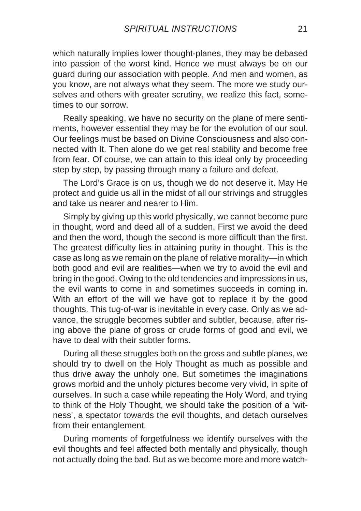which naturally implies lower thought-planes, they may be debased into passion of the worst kind. Hence we must always be on our guard during our association with people. And men and women, as you know, are not always what they seem. The more we study ourselves and others with greater scrutiny, we realize this fact, sometimes to our sorrow.

Really speaking, we have no security on the plane of mere sentiments, however essential they may be for the evolution of our soul. Our feelings must be based on Divine Consciousness and also connected with It. Then alone do we get real stability and become free from fear. Of course, we can attain to this ideal only by proceeding step by step, by passing through many a failure and defeat.

The Lord's Grace is on us, though we do not deserve it. May He protect and guide us all in the midst of all our strivings and struggles and take us nearer and nearer to Him.

Simply by giving up this world physically, we cannot become pure in thought, word and deed all of a sudden. First we avoid the deed and then the word, though the second is more difficult than the first. The greatest difficulty lies in attaining purity in thought. This is the case as long as we remain on the plane of relative morality—in which both good and evil are realities—when we try to avoid the evil and bring in the good. Owing to the old tendencies and impressions in us, the evil wants to come in and sometimes succeeds in coming in. With an effort of the will we have got to replace it by the good thoughts. This tug-of-war is inevitable in every case. Only as we advance, the struggle becomes subtler and subtler, because, after rising above the plane of gross or crude forms of good and evil, we have to deal with their subtler forms.

During all these struggles both on the gross and subtle planes, we should try to dwell on the Holy Thought as much as possible and thus drive away the unholy one. But sometimes the imaginations grows morbid and the unholy pictures become very vivid, in spite of ourselves. In such a case while repeating the Holy Word, and trying to think of the Holy Thought, we should take the position of a 'witness', a spectator towards the evil thoughts, and detach ourselves from their entanglement.

During moments of forgetfulness we identify ourselves with the evil thoughts and feel affected both mentally and physically, though not actually doing the bad. But as we become more and more watch